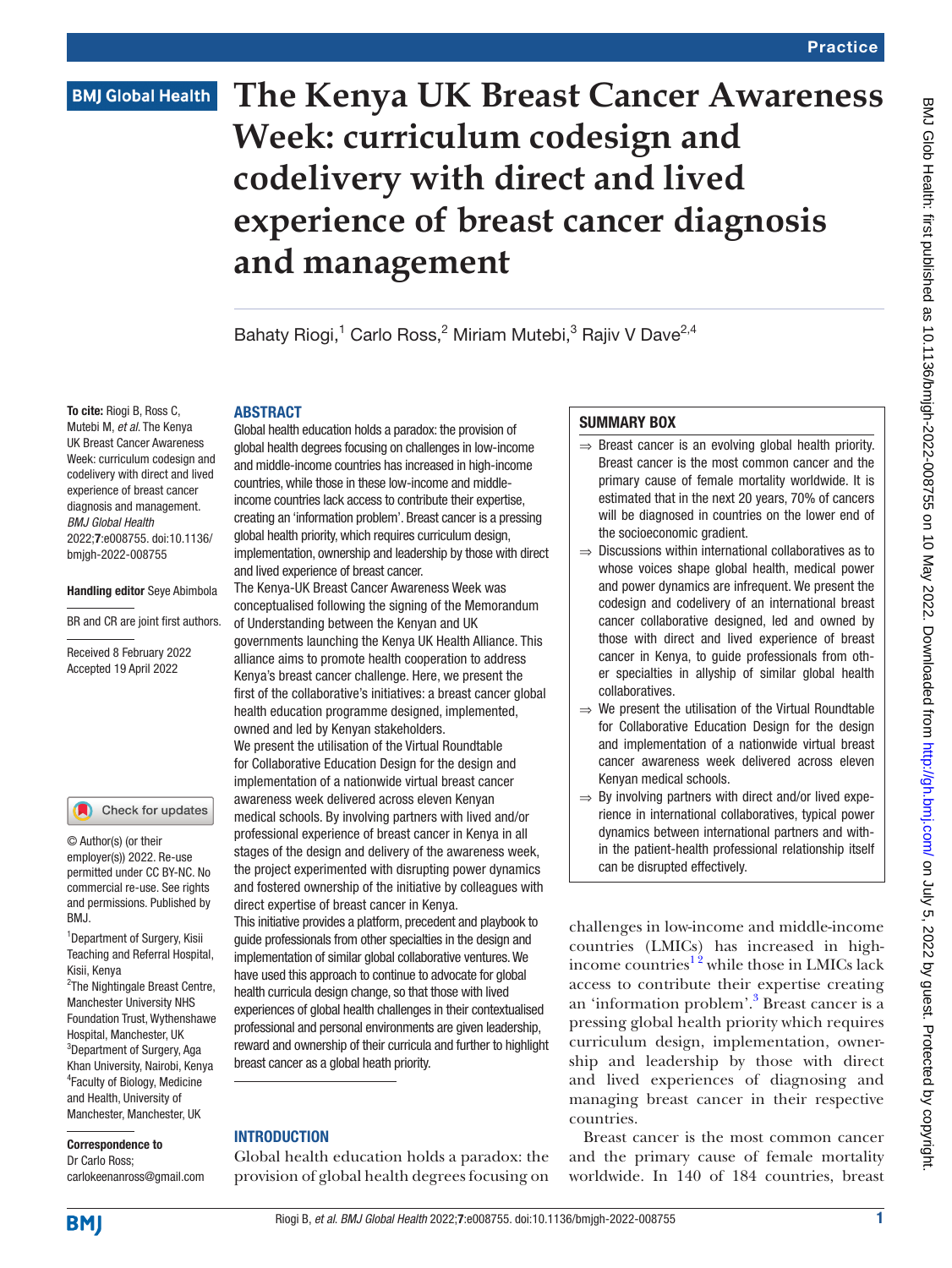# **BMJ Global Health**

# **The Kenya UK Breast Cancer Awareness Week: curriculum codesign and codelivery with direct and lived experience of breast cancer diagnosis and management**

Bahaty Riogi,<sup>1</sup> Carlo Ross,<sup>2</sup> Miriam Mutebi,<sup>3</sup> Rajiv V Dave<sup>2,4</sup>

### ABSTRACT

To cite: Riogi B, Ross C, Mutebi M, *et al*. The Kenya UK Breast Cancer Awareness Week: curriculum codesign and codelivery with direct and lived experience of breast cancer diagnosis and management. *BMJ Global Health* 2022;7:e008755. doi:10.1136/ bmjgh-2022-008755

#### Handling editor Seye Abimbola

BR and CR are joint first authors.

Received 8 February 2022 Accepted 19 April 2022

### Check for updates

© Author(s) (or their employer(s)) 2022. Re-use permitted under CC BY-NC. No commercial re-use. See rights and permissions. Published by BMJ.

<sup>1</sup> Department of Surgery, Kisii Teaching and Referral Hospital, Kisii, Kenya

<sup>2</sup>The Nightingale Breast Centre, Manchester University NHS Foundation Trust, Wythenshawe Hospital, Manchester, UK 3 Department of Surgery, Aga Khan University, Nairobi, Kenya 4 Faculty of Biology, Medicine and Health, University of Manchester, Manchester, UK

# Correspondence to

Dr Carlo Ross; carlokeenanross@gmail.com

Global health education holds a paradox: the provision of global health degrees focusing on challenges in low-income and middle-income countries has increased in high-income countries, while those in these low-income and middleincome countries lack access to contribute their expertise, creating an 'information problem'. Breast cancer is a pressing global health priority, which requires curriculum design, implementation, ownership and leadership by those with direct and lived experience of breast cancer.

The Kenya-UK Breast Cancer Awareness Week was conceptualised following the signing of the Memorandum of Understanding between the Kenyan and UK

governments launching the Kenya UK Health Alliance. This alliance aims to promote health cooperation to address Kenya's breast cancer challenge. Here, we present the first of the collaborative's initiatives: a breast cancer global health education programme designed, implemented, owned and led by Kenyan stakeholders.

We present the utilisation of the Virtual Roundtable for Collaborative Education Design for the design and implementation of a nationwide virtual breast cancer awareness week delivered across eleven Kenyan medical schools. By involving partners with lived and/or professional experience of breast cancer in Kenya in all stages of the design and delivery of the awareness week, the project experimented with disrupting power dynamics and fostered ownership of the initiative by colleagues with direct expertise of breast cancer in Kenya.

This initiative provides a platform, precedent and playbook to guide professionals from other specialties in the design and implementation of similar global collaborative ventures. We have used this approach to continue to advocate for global health curricula design change, so that those with lived experiences of global health challenges in their contextualised professional and personal environments are given leadership, reward and ownership of their curricula and further to highlight breast cancer as a global heath priority.

# INTRODUCTION

Global health education holds a paradox: the provision of global health degrees focusing on

# SUMMARY BOX

- $\Rightarrow$  Breast cancer is an evolving global health priority. Breast cancer is the most common cancer and the primary cause of female mortality worldwide. It is estimated that in the next 20 years, 70% of cancers will be diagnosed in countries on the lower end of the socioeconomic gradient.
- ⇒ Discussions within international collaboratives as to whose voices shape global health, medical power and power dynamics are infrequent. We present the codesign and codelivery of an international breast cancer collaborative designed, led and owned by those with direct and lived experience of breast cancer in Kenya, to guide professionals from other specialties in allyship of similar global health collaboratives.
- ⇒ We present the utilisation of the Virtual Roundtable for Collaborative Education Design for the design and implementation of a nationwide virtual breast cancer awareness week delivered across eleven Kenyan medical schools.
- $\Rightarrow$  By involving partners with direct and/or lived experience in international collaboratives, typical power dynamics between international partners and within the patient-health professional relationship itself can be disrupted effectively.

challenges in low-income and middle-income countries (LMICs) has increased in highincome countries<sup>12</sup> while those in LMICs lack access to contribute their expertise creating an 'information problem'.<sup>3</sup> Breast cancer is a pressing global health priority which requires curriculum design, implementation, ownership and leadership by those with direct and lived experiences of diagnosing and managing breast cancer in their respective countries.

Breast cancer is the most common cancer and the primary cause of female mortality worldwide. In 140 of 184 countries, breast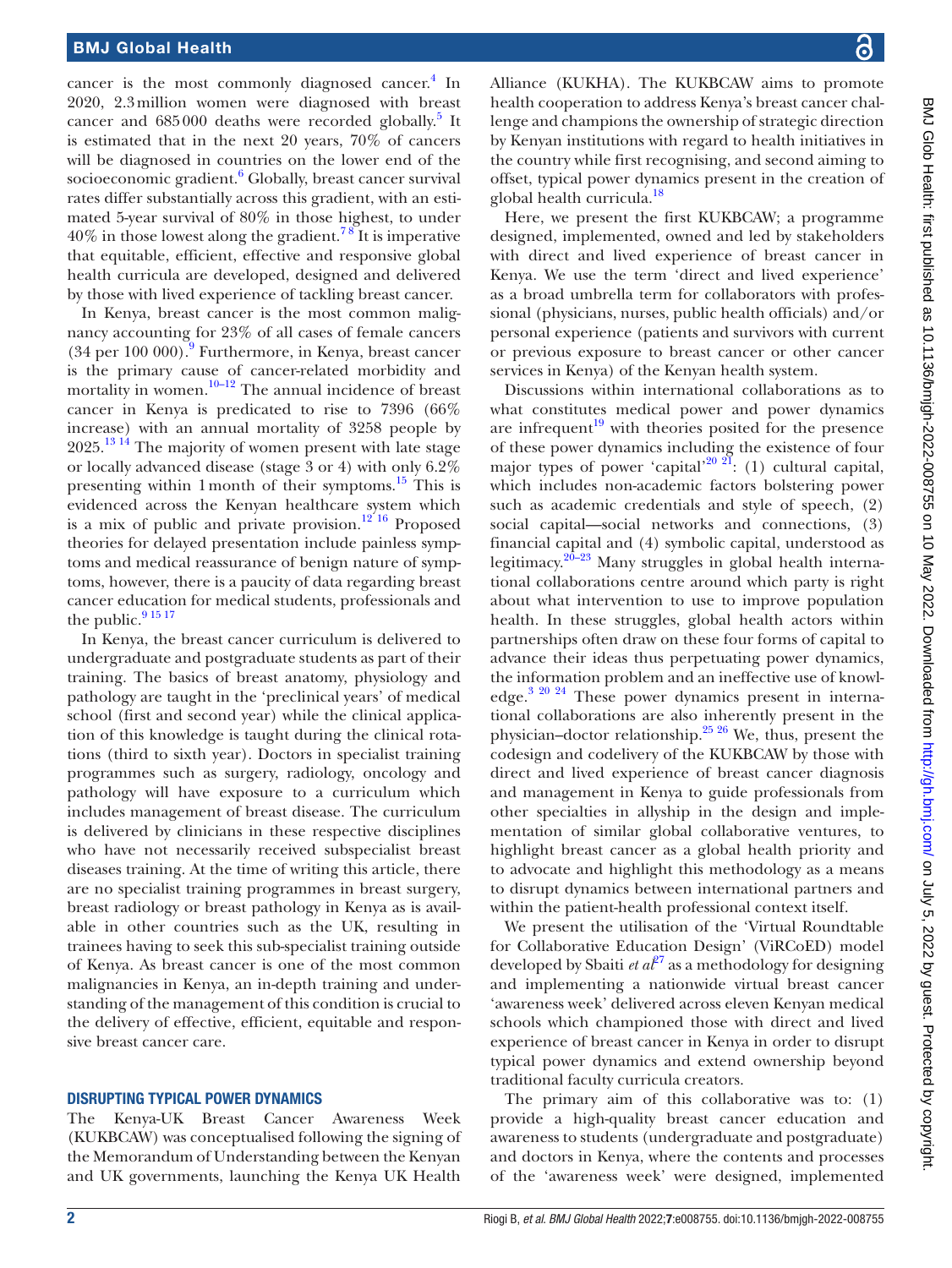cancer is the most commonly diagnosed cancer.<sup>[4](#page-7-2)</sup> In 2020, 2.3million women were diagnosed with breast cancer and 685000 deaths were recorded globally.<sup>5</sup> It is estimated that in the next 20 years, 70% of cancers will be diagnosed in countries on the lower end of the socioeconomic gradient.<sup>6</sup> Globally, breast cancer survival rates differ substantially across this gradient, with an estimated 5-year survival of 80% in those highest, to under  $40\%$  in those lowest along the gradient.<sup>78</sup> It is imperative that equitable, efficient, effective and responsive global health curricula are developed, designed and delivered by those with lived experience of tackling breast cancer.

In Kenya, breast cancer is the most common malignancy accounting for 23% of all cases of female cancers (34 per 100 000).[9](#page-7-6) Furthermore, in Kenya, breast cancer is the primary cause of cancer-related morbidity and mortality in women. $10-12$  The annual incidence of breast cancer in Kenya is predicated to rise to 7396 (66% increase) with an annual mortality of 3258 people by  $2025$ .<sup>13 14</sup> The majority of women present with late stage or locally advanced disease (stage 3 or 4) with only 6.2% presenting within 1 month of their symptoms.<sup>15</sup> This is evidenced across the Kenyan healthcare system which is a mix of public and private provision.<sup>12'16</sup> Proposed theories for delayed presentation include painless symptoms and medical reassurance of benign nature of symptoms, however, there is a paucity of data regarding breast cancer education for medical students, professionals and the public.<sup>9</sup> <sup>15 17</sup>

In Kenya, the breast cancer curriculum is delivered to undergraduate and postgraduate students as part of their training. The basics of breast anatomy, physiology and pathology are taught in the 'preclinical years' of medical school (first and second year) while the clinical application of this knowledge is taught during the clinical rotations (third to sixth year). Doctors in specialist training programmes such as surgery, radiology, oncology and pathology will have exposure to a curriculum which includes management of breast disease. The curriculum is delivered by clinicians in these respective disciplines who have not necessarily received subspecialist breast diseases training. At the time of writing this article, there are no specialist training programmes in breast surgery, breast radiology or breast pathology in Kenya as is available in other countries such as the UK, resulting in trainees having to seek this sub-specialist training outside of Kenya. As breast cancer is one of the most common malignancies in Kenya, an in-depth training and understanding of the management of this condition is crucial to the delivery of effective, efficient, equitable and responsive breast cancer care.

## DISRUPTING TYPICAL POWER DYNAMICS

The Kenya-UK Breast Cancer Awareness Week (KUKBCAW) was conceptualised following the signing of the Memorandum of Understanding between the Kenyan and UK governments, launching the Kenya UK Health

Alliance (KUKHA). The KUKBCAW aims to promote health cooperation to address Kenya's breast cancer challenge and champions the ownership of strategic direction by Kenyan institutions with regard to health initiatives in the country while first recognising, and second aiming to offset, typical power dynamics present in the creation of global health curricula.<sup>18</sup>

Here, we present the first KUKBCAW; a programme designed, implemented, owned and led by stakeholders with direct and lived experience of breast cancer in Kenya. We use the term 'direct and lived experience' as a broad umbrella term for collaborators with professional (physicians, nurses, public health officials) and/or personal experience (patients and survivors with current or previous exposure to breast cancer or other cancer services in Kenya) of the Kenyan health system.

Discussions within international collaborations as to what constitutes medical power and power dynamics are infrequent<sup>19</sup> with theories posited for the presence of these power dynamics including the existence of four major types of power 'capital'<sup>20 21</sup>: (1) cultural capital, which includes non-academic factors bolstering power such as academic credentials and style of speech, (2) social capital—social networks and connections, (3) financial capital and (4) symbolic capital, understood as legitimacy.<sup>20–23</sup> Many struggles in global health international collaborations centre around which party is right about what intervention to use to improve population health. In these struggles, global health actors within partnerships often draw on these four forms of capital to advance their ideas thus perpetuating power dynamics, the information problem and an ineffective use of knowledge[.3 20 24](#page-7-1) These power dynamics present in international collaborations are also inherently present in the physician–doctor relationship.[25 26](#page-7-14) We, thus, present the codesign and codelivery of the KUKBCAW by those with direct and lived experience of breast cancer diagnosis and management in Kenya to guide professionals from other specialties in allyship in the design and implementation of similar global collaborative ventures, to highlight breast cancer as a global health priority and to advocate and highlight this methodology as a means to disrupt dynamics between international partners and within the patient-health professional context itself.

We present the utilisation of the 'Virtual Roundtable for Collaborative Education Design' (ViRCoED) model developed by Sbaiti *et*  $a^{27}$  as a methodology for designing and implementing a nationwide virtual breast cancer 'awareness week' delivered across eleven Kenyan medical schools which championed those with direct and lived experience of breast cancer in Kenya in order to disrupt typical power dynamics and extend ownership beyond traditional faculty curricula creators.

The primary aim of this collaborative was to: (1) provide a high-quality breast cancer education and awareness to students (undergraduate and postgraduate) and doctors in Kenya, where the contents and processes of the 'awareness week' were designed, implemented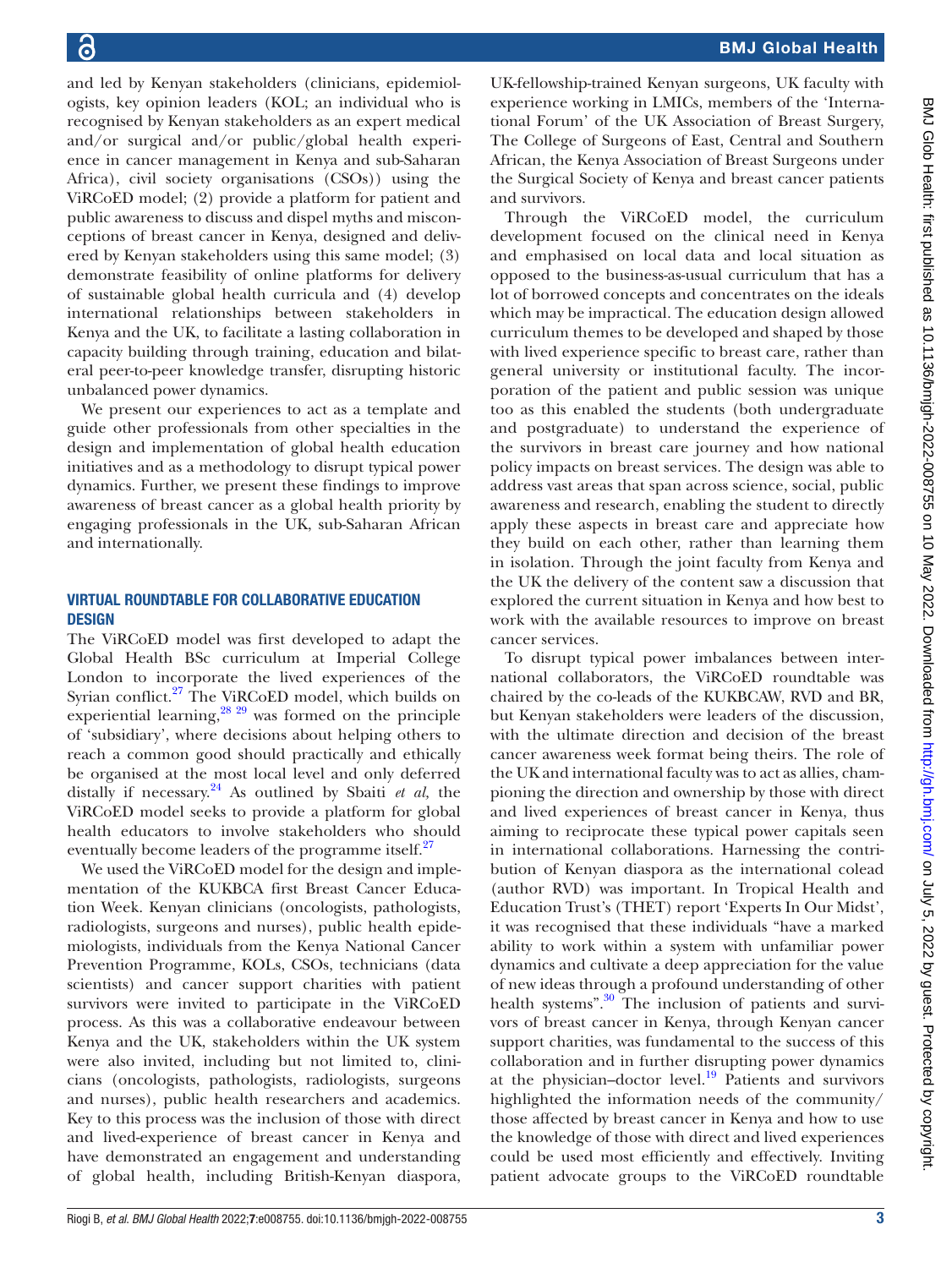and led by Kenyan stakeholders (clinicians, epidemiologists, key opinion leaders (KOL; an individual who is recognised by Kenyan stakeholders as an expert medical and/or surgical and/or public/global health experience in cancer management in Kenya and sub-Saharan Africa), civil society organisations (CSOs)) using the ViRCoED model; (2) provide a platform for patient and public awareness to discuss and dispel myths and misconceptions of breast cancer in Kenya, designed and delivered by Kenyan stakeholders using this same model; (3) demonstrate feasibility of online platforms for delivery of sustainable global health curricula and (4) develop international relationships between stakeholders in Kenya and the UK, to facilitate a lasting collaboration in capacity building through training, education and bilateral peer-to-peer knowledge transfer, disrupting historic unbalanced power dynamics.

We present our experiences to act as a template and guide other professionals from other specialties in the design and implementation of global health education initiatives and as a methodology to disrupt typical power dynamics. Further, we present these findings to improve awareness of breast cancer as a global health priority by engaging professionals in the UK, sub-Saharan African and internationally.

## VIRTUAL ROUNDTABLE FOR COLLABORATIVE EDUCATION **DESIGN**

The ViRCoED model was first developed to adapt the Global Health BSc curriculum at Imperial College London to incorporate the lived experiences of the Syrian conflict.<sup>27</sup> The ViRCoED model, which builds on experiential learning,  $28\frac{29}{2}$  was formed on the principle of 'subsidiary', where decisions about helping others to reach a common good should practically and ethically be organised at the most local level and only deferred distally if necessary.<sup>24</sup> As outlined by Sbaiti *et al*, the ViRCoED model seeks to provide a platform for global health educators to involve stakeholders who should eventually become leaders of the programme itself. $27$ 

We used the ViRCoED model for the design and implementation of the KUKBCA first Breast Cancer Education Week. Kenyan clinicians (oncologists, pathologists, radiologists, surgeons and nurses), public health epidemiologists, individuals from the Kenya National Cancer Prevention Programme, KOLs, CSOs, technicians (data scientists) and cancer support charities with patient survivors were invited to participate in the ViRCoED process. As this was a collaborative endeavour between Kenya and the UK, stakeholders within the UK system were also invited, including but not limited to, clinicians (oncologists, pathologists, radiologists, surgeons and nurses), public health researchers and academics. Key to this process was the inclusion of those with direct and lived-experience of breast cancer in Kenya and have demonstrated an engagement and understanding of global health, including British-Kenyan diaspora,

UK-fellowship-trained Kenyan surgeons, UK faculty with experience working in LMICs, members of the 'International Forum' of the UK Association of Breast Surgery, The College of Surgeons of East, Central and Southern African, the Kenya Association of Breast Surgeons under the Surgical Society of Kenya and breast cancer patients and survivors.

Through the ViRCoED model, the curriculum development focused on the clinical need in Kenya and emphasised on local data and local situation as opposed to the business-as-usual curriculum that has a lot of borrowed concepts and concentrates on the ideals which may be impractical. The education design allowed curriculum themes to be developed and shaped by those with lived experience specific to breast care, rather than general university or institutional faculty. The incorporation of the patient and public session was unique too as this enabled the students (both undergraduate and postgraduate) to understand the experience of the survivors in breast care journey and how national policy impacts on breast services. The design was able to address vast areas that span across science, social, public awareness and research, enabling the student to directly apply these aspects in breast care and appreciate how they build on each other, rather than learning them in isolation. Through the joint faculty from Kenya and the UK the delivery of the content saw a discussion that explored the current situation in Kenya and how best to work with the available resources to improve on breast cancer services.

To disrupt typical power imbalances between international collaborators, the ViRCoED roundtable was chaired by the co-leads of the KUKBCAW, RVD and BR, but Kenyan stakeholders were leaders of the discussion, with the ultimate direction and decision of the breast cancer awareness week format being theirs. The role of the UK and international faculty was to act as allies, championing the direction and ownership by those with direct and lived experiences of breast cancer in Kenya, thus aiming to reciprocate these typical power capitals seen in international collaborations. Harnessing the contribution of Kenyan diaspora as the international colead (author RVD) was important. In Tropical Health and Education Trust's (THET) report 'Experts In Our Midst', it was recognised that these individuals "have a marked ability to work within a system with unfamiliar power dynamics and cultivate a deep appreciation for the value of new ideas through a profound understanding of other health systems".<sup>30</sup> The inclusion of patients and survivors of breast cancer in Kenya, through Kenyan cancer support charities, was fundamental to the success of this collaboration and in further disrupting power dynamics at the physician–doctor level. $\frac{19}{19}$  Patients and survivors highlighted the information needs of the community/ those affected by breast cancer in Kenya and how to use the knowledge of those with direct and lived experiences could be used most efficiently and effectively. Inviting patient advocate groups to the ViRCoED roundtable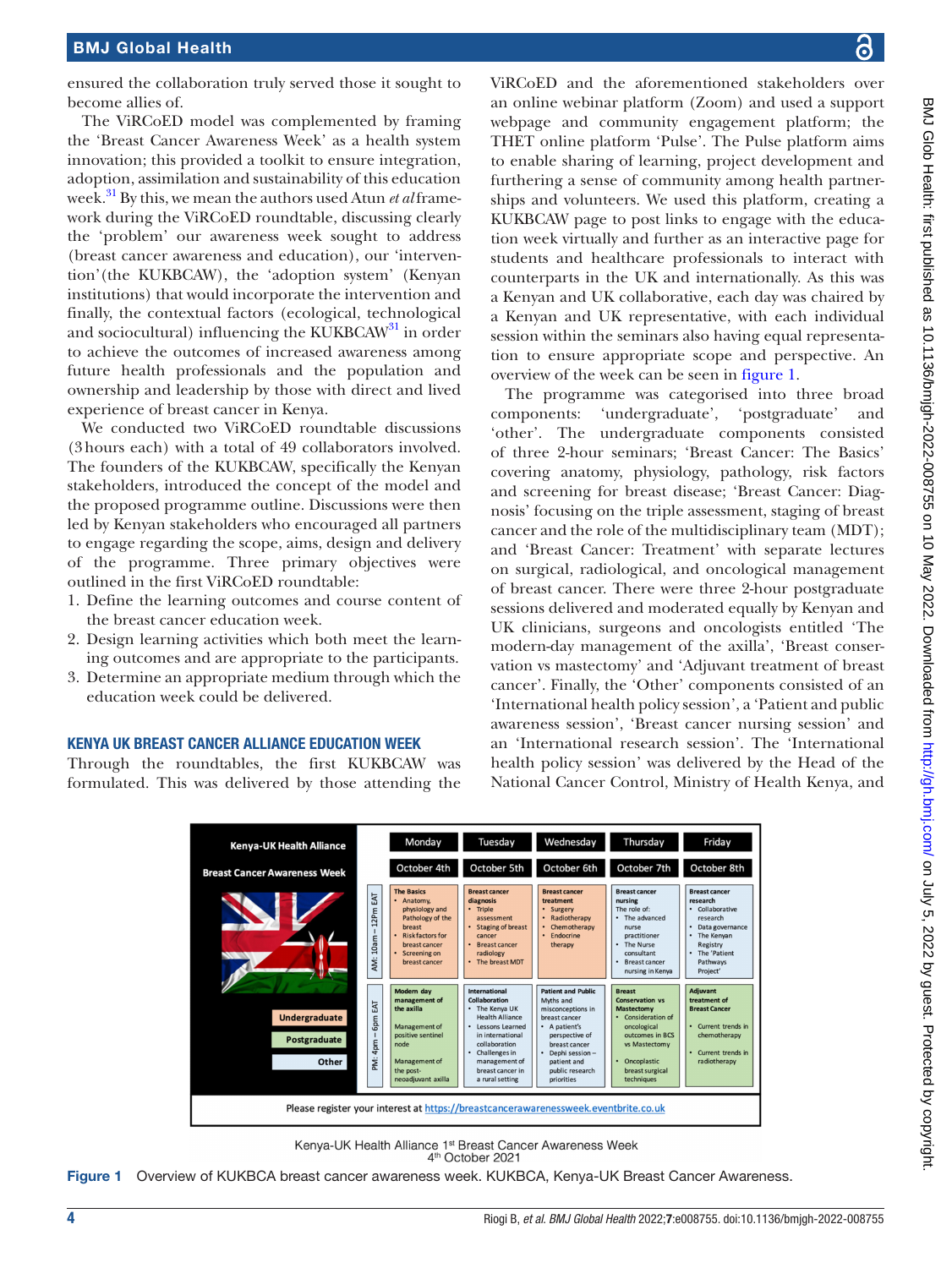ensured the collaboration truly served those it sought to become allies of.

The ViRCoED model was complemented by framing the 'Breast Cancer Awareness Week' as a health system innovation; this provided a toolkit to ensure integration, adoption, assimilation and sustainability of this education week[.31](#page-7-19) By this, we mean the authors used Atun *et al* framework during the ViRCoED roundtable, discussing clearly the 'problem' our awareness week sought to address (breast cancer awareness and education), our 'intervention'(the KUKBCAW), the 'adoption system' (Kenyan institutions) that would incorporate the intervention and finally, the contextual factors (ecological, technological and sociocultural) influencing the KUKBCA $W^{31}$  in order to achieve the outcomes of increased awareness among future health professionals and the population and ownership and leadership by those with direct and lived experience of breast cancer in Kenya.

We conducted two ViRCoED roundtable discussions (3hours each) with a total of 49 collaborators involved. The founders of the KUKBCAW, specifically the Kenyan stakeholders, introduced the concept of the model and the proposed programme outline. Discussions were then led by Kenyan stakeholders who encouraged all partners to engage regarding the scope, aims, design and delivery of the programme. Three primary objectives were outlined in the first ViRCoED roundtable:

- 1. Define the learning outcomes and course content of the breast cancer education week.
- 2. Design learning activities which both meet the learning outcomes and are appropriate to the participants.
- 3. Determine an appropriate medium through which the education week could be delivered.

#### KENYA UK BREAST CANCER ALLIANCE EDUCATION WEEK

Through the roundtables, the first KUKBCAW was formulated. This was delivered by those attending the

ViRCoED and the aforementioned stakeholders over an online webinar platform (Zoom) and used a support webpage and community engagement platform; the THET online platform 'Pulse'. The Pulse platform aims to enable sharing of learning, project development and furthering a sense of community among health partnerships and volunteers. We used this platform, creating a KUKBCAW page to post links to engage with the education week virtually and further as an interactive page for students and healthcare professionals to interact with counterparts in the UK and internationally. As this was a Kenyan and UK collaborative, each day was chaired by a Kenyan and UK representative, with each individual session within the seminars also having equal representation to ensure appropriate scope and perspective. An overview of the week can be seen in [figure](#page-3-0) 1.

The programme was categorised into three broad components: 'undergraduate', 'postgraduate' and 'other'. The undergraduate components consisted of three 2-hour seminars; 'Breast Cancer: The Basics' covering anatomy, physiology, pathology, risk factors and screening for breast disease; 'Breast Cancer: Diagnosis' focusing on the triple assessment, staging of breast cancer and the role of the multidisciplinary team (MDT); and 'Breast Cancer: Treatment' with separate lectures on surgical, radiological, and oncological management of breast cancer. There were three 2-hour postgraduate sessions delivered and moderated equally by Kenyan and UK clinicians, surgeons and oncologists entitled 'The modern-day management of the axilla', 'Breast conservation vs mastectomy' and 'Adjuvant treatment of breast cancer'. Finally, the 'Other' components consisted of an 'International health policy session', a 'Patient and public awareness session', 'Breast cancer nursing session' and an 'International research session'. The 'International health policy session' was delivered by the Head of the National Cancer Control, Ministry of Health Kenya, and



<span id="page-3-0"></span>Kenya-UK Health Alliance 1<sup>st</sup> Breast Cancer Awareness Week 4<sup>th</sup> October 2021

Figure 1 Overview of KUKBCA breast cancer awareness week. KUKBCA, Kenya-UK Breast Cancer Awareness.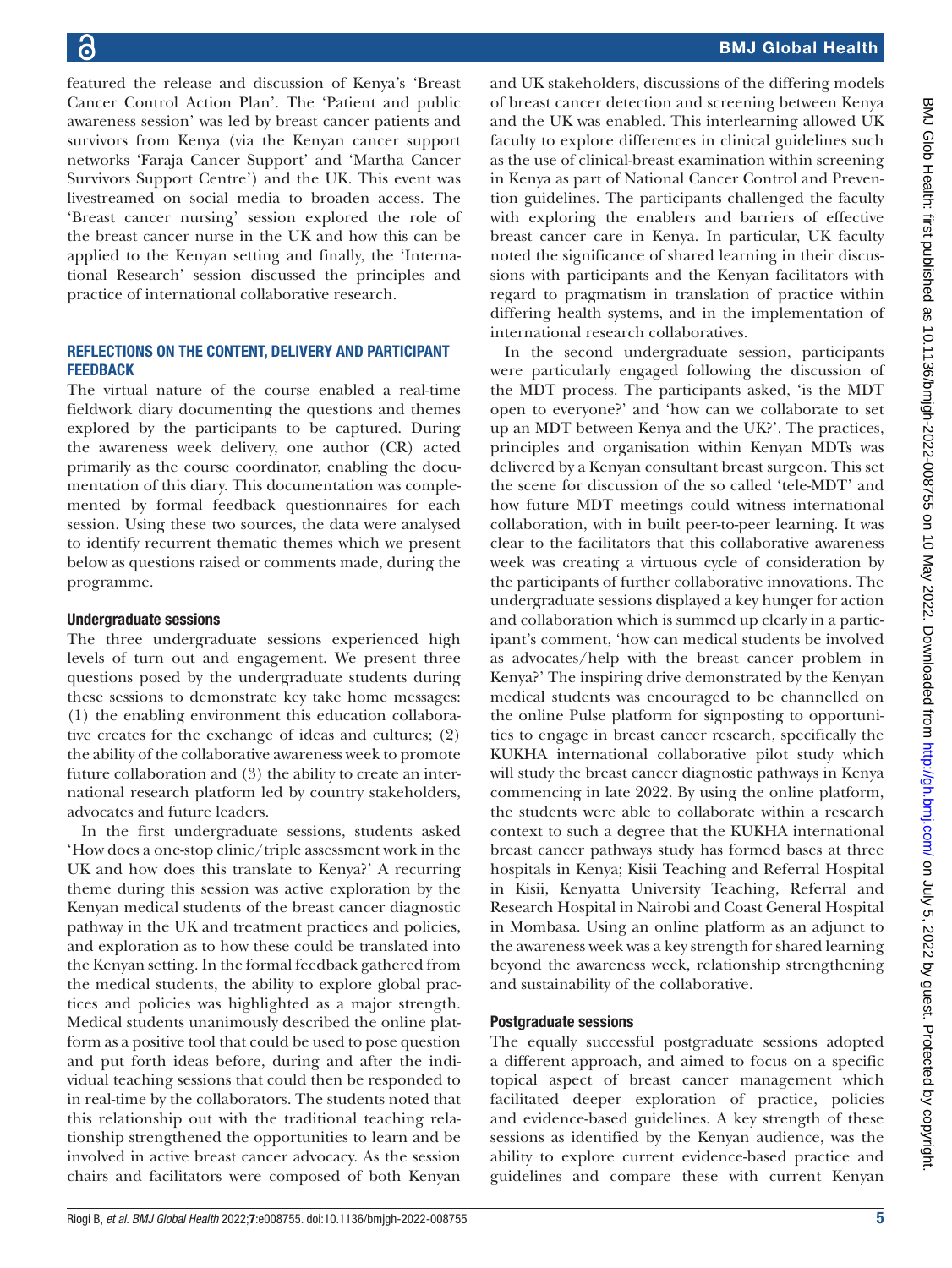featured the release and discussion of Kenya's 'Breast Cancer Control Action Plan'. The 'Patient and public awareness session' was led by breast cancer patients and survivors from Kenya (via the Kenyan cancer support networks 'Faraja Cancer Support' and 'Martha Cancer Survivors Support Centre') and the UK. This event was livestreamed on social media to broaden access. The 'Breast cancer nursing' session explored the role of the breast cancer nurse in the UK and how this can be applied to the Kenyan setting and finally, the 'International Research' session discussed the principles and practice of international collaborative research.

# REFLECTIONS ON THE CONTENT, DELIVERY AND PARTICIPANT **FEEDBACK**

The virtual nature of the course enabled a real-time fieldwork diary documenting the questions and themes explored by the participants to be captured. During the awareness week delivery, one author (CR) acted primarily as the course coordinator, enabling the documentation of this diary. This documentation was complemented by formal feedback questionnaires for each session. Using these two sources, the data were analysed to identify recurrent thematic themes which we present below as questions raised or comments made, during the programme.

### Undergraduate sessions

The three undergraduate sessions experienced high levels of turn out and engagement. We present three questions posed by the undergraduate students during these sessions to demonstrate key take home messages: (1) the enabling environment this education collaborative creates for the exchange of ideas and cultures; (2) the ability of the collaborative awareness week to promote future collaboration and (3) the ability to create an international research platform led by country stakeholders, advocates and future leaders.

In the first undergraduate sessions, students asked 'How does a one-stop clinic/triple assessment work in the UK and how does this translate to Kenya?' A recurring theme during this session was active exploration by the Kenyan medical students of the breast cancer diagnostic pathway in the UK and treatment practices and policies, and exploration as to how these could be translated into the Kenyan setting. In the formal feedback gathered from the medical students, the ability to explore global practices and policies was highlighted as a major strength. Medical students unanimously described the online platform as a positive tool that could be used to pose question and put forth ideas before, during and after the individual teaching sessions that could then be responded to in real-time by the collaborators. The students noted that this relationship out with the traditional teaching relationship strengthened the opportunities to learn and be involved in active breast cancer advocacy. As the session chairs and facilitators were composed of both Kenyan

and UK stakeholders, discussions of the differing models of breast cancer detection and screening between Kenya and the UK was enabled. This interlearning allowed UK faculty to explore differences in clinical guidelines such as the use of clinical-breast examination within screening in Kenya as part of National Cancer Control and Prevention guidelines. The participants challenged the faculty with exploring the enablers and barriers of effective breast cancer care in Kenya. In particular, UK faculty noted the significance of shared learning in their discussions with participants and the Kenyan facilitators with regard to pragmatism in translation of practice within differing health systems, and in the implementation of international research collaboratives.

In the second undergraduate session, participants were particularly engaged following the discussion of the MDT process. The participants asked, 'is the MDT open to everyone?' and 'how can we collaborate to set up an MDT between Kenya and the UK?'. The practices, principles and organisation within Kenyan MDTs was delivered by a Kenyan consultant breast surgeon. This set the scene for discussion of the so called 'tele-MDT' and how future MDT meetings could witness international collaboration, with in built peer-to-peer learning. It was clear to the facilitators that this collaborative awareness week was creating a virtuous cycle of consideration by the participants of further collaborative innovations. The undergraduate sessions displayed a key hunger for action and collaboration which is summed up clearly in a participant's comment, 'how can medical students be involved as advocates/help with the breast cancer problem in Kenya?' The inspiring drive demonstrated by the Kenyan medical students was encouraged to be channelled on the online Pulse platform for signposting to opportunities to engage in breast cancer research, specifically the KUKHA international collaborative pilot study which will study the breast cancer diagnostic pathways in Kenya commencing in late 2022. By using the online platform, the students were able to collaborate within a research context to such a degree that the KUKHA international breast cancer pathways study has formed bases at three hospitals in Kenya; Kisii Teaching and Referral Hospital in Kisii, Kenyatta University Teaching, Referral and Research Hospital in Nairobi and Coast General Hospital in Mombasa. Using an online platform as an adjunct to the awareness week was a key strength for shared learning beyond the awareness week, relationship strengthening and sustainability of the collaborative.

#### Postgraduate sessions

The equally successful postgraduate sessions adopted a different approach, and aimed to focus on a specific topical aspect of breast cancer management which facilitated deeper exploration of practice, policies and evidence-based guidelines. A key strength of these sessions as identified by the Kenyan audience, was the ability to explore current evidence-based practice and guidelines and compare these with current Kenyan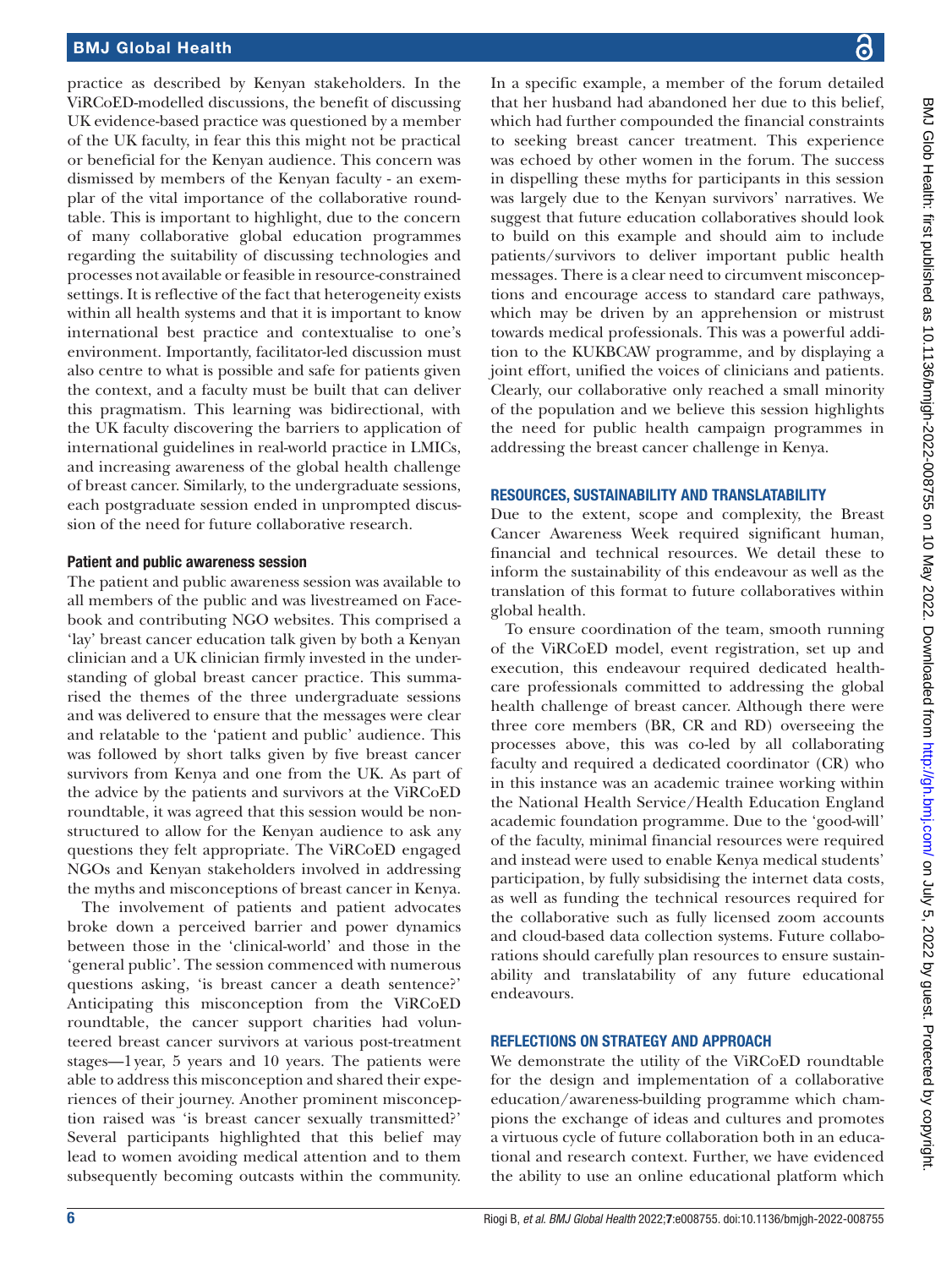## BMJ Global Health

practice as described by Kenyan stakeholders. In the ViRCoED-modelled discussions, the benefit of discussing UK evidence-based practice was questioned by a member of the UK faculty, in fear this this might not be practical or beneficial for the Kenyan audience. This concern was dismissed by members of the Kenyan faculty - an exemplar of the vital importance of the collaborative roundtable. This is important to highlight, due to the concern of many collaborative global education programmes regarding the suitability of discussing technologies and processes not available or feasible in resource-constrained settings. It is reflective of the fact that heterogeneity exists within all health systems and that it is important to know international best practice and contextualise to one's environment. Importantly, facilitator-led discussion must also centre to what is possible and safe for patients given the context, and a faculty must be built that can deliver this pragmatism. This learning was bidirectional, with the UK faculty discovering the barriers to application of international guidelines in real-world practice in LMICs, and increasing awareness of the global health challenge of breast cancer. Similarly, to the undergraduate sessions, each postgraduate session ended in unprompted discussion of the need for future collaborative research.

#### Patient and public awareness session

The patient and public awareness session was available to all members of the public and was livestreamed on Facebook and contributing NGO websites. This comprised a 'lay' breast cancer education talk given by both a Kenyan clinician and a UK clinician firmly invested in the understanding of global breast cancer practice. This summarised the themes of the three undergraduate sessions and was delivered to ensure that the messages were clear and relatable to the 'patient and public' audience. This was followed by short talks given by five breast cancer survivors from Kenya and one from the UK. As part of the advice by the patients and survivors at the ViRCoED roundtable, it was agreed that this session would be nonstructured to allow for the Kenyan audience to ask any questions they felt appropriate. The ViRCoED engaged NGOs and Kenyan stakeholders involved in addressing the myths and misconceptions of breast cancer in Kenya.

The involvement of patients and patient advocates broke down a perceived barrier and power dynamics between those in the 'clinical-world' and those in the 'general public'. The session commenced with numerous questions asking, 'is breast cancer a death sentence?' Anticipating this misconception from the ViRCoED roundtable, the cancer support charities had volunteered breast cancer survivors at various post-treatment stages—1year, 5 years and 10 years. The patients were able to address this misconception and shared their experiences of their journey. Another prominent misconception raised was 'is breast cancer sexually transmitted?' Several participants highlighted that this belief may lead to women avoiding medical attention and to them subsequently becoming outcasts within the community.

In a specific example, a member of the forum detailed that her husband had abandoned her due to this belief, which had further compounded the financial constraints to seeking breast cancer treatment. This experience was echoed by other women in the forum. The success in dispelling these myths for participants in this session was largely due to the Kenyan survivors' narratives. We suggest that future education collaboratives should look to build on this example and should aim to include patients/survivors to deliver important public health messages. There is a clear need to circumvent misconceptions and encourage access to standard care pathways, which may be driven by an apprehension or mistrust towards medical professionals. This was a powerful addition to the KUKBCAW programme, and by displaying a joint effort, unified the voices of clinicians and patients. Clearly, our collaborative only reached a small minority of the population and we believe this session highlights the need for public health campaign programmes in addressing the breast cancer challenge in Kenya.

#### RESOURCES, SUSTAINABILITY AND TRANSLATABILITY

Due to the extent, scope and complexity, the Breast Cancer Awareness Week required significant human, financial and technical resources. We detail these to inform the sustainability of this endeavour as well as the translation of this format to future collaboratives within global health.

To ensure coordination of the team, smooth running of the ViRCoED model, event registration, set up and execution, this endeavour required dedicated healthcare professionals committed to addressing the global health challenge of breast cancer. Although there were three core members (BR, CR and RD) overseeing the processes above, this was co-led by all collaborating faculty and required a dedicated coordinator (CR) who in this instance was an academic trainee working within the National Health Service/Health Education England academic foundation programme. Due to the 'good-will' of the faculty, minimal financial resources were required and instead were used to enable Kenya medical students' participation, by fully subsidising the internet data costs, as well as funding the technical resources required for the collaborative such as fully licensed zoom accounts and cloud-based data collection systems. Future collaborations should carefully plan resources to ensure sustainability and translatability of any future educational endeavours.

#### REFLECTIONS ON STRATEGY AND APPROACH

We demonstrate the utility of the ViRCoED roundtable for the design and implementation of a collaborative education/awareness-building programme which champions the exchange of ideas and cultures and promotes a virtuous cycle of future collaboration both in an educational and research context. Further, we have evidenced the ability to use an online educational platform which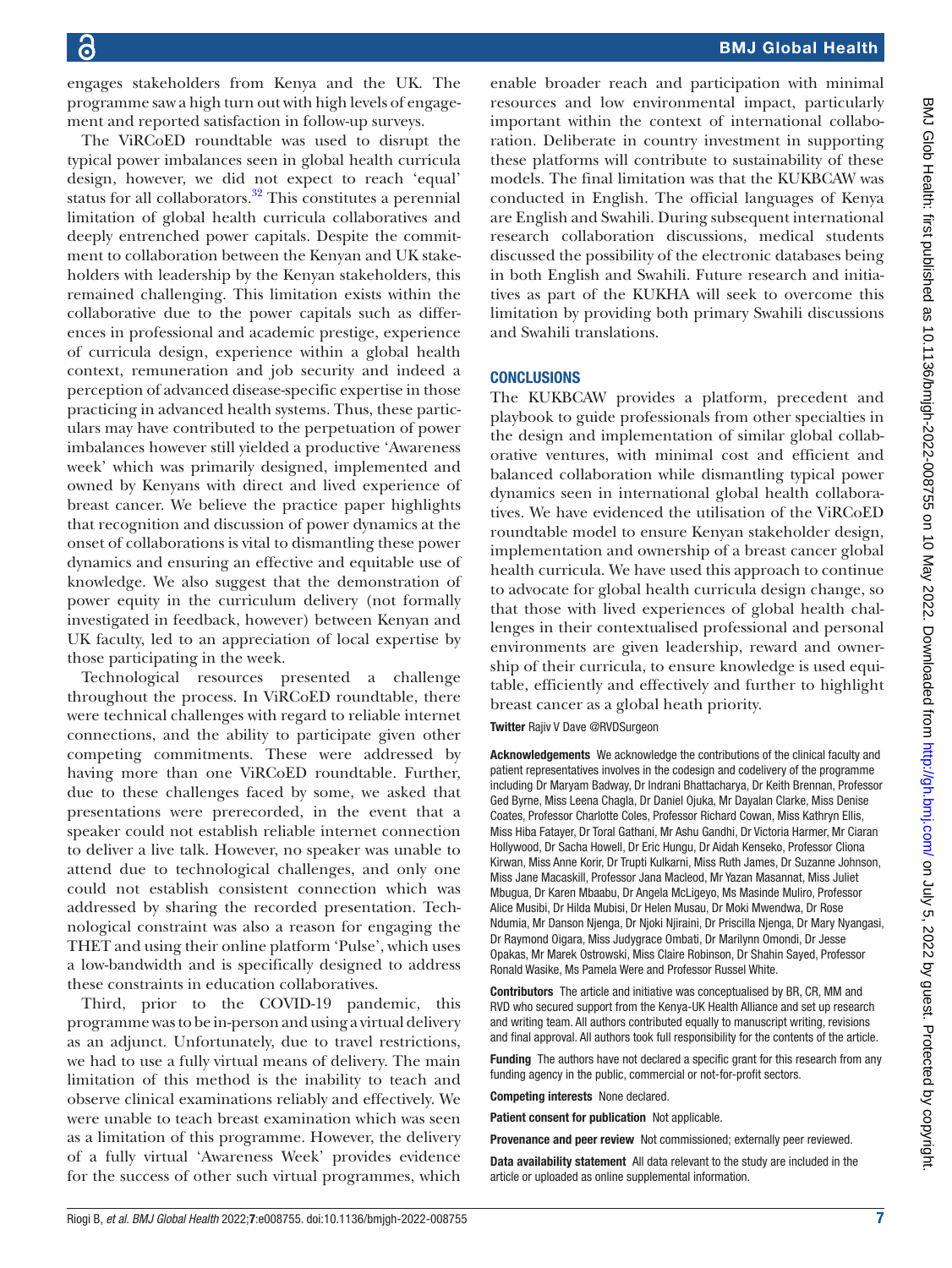engages stakeholders from Kenya and the UK. The programme saw a high turn out with high levels of engagement and reported satisfaction in follow-up surveys.

The ViRCoED roundtable was used to disrupt the typical power imbalances seen in global health curricula design, however, we did not expect to reach 'equal' status for all collaborators.<sup>[32](#page-7-20)</sup> This constitutes a perennial limitation of global health curricula collaboratives and deeply entrenched power capitals. Despite the commitment to collaboration between the Kenyan and UK stakeholders with leadership by the Kenyan stakeholders, this remained challenging. This limitation exists within the collaborative due to the power capitals such as differences in professional and academic prestige, experience of curricula design, experience within a global health context, remuneration and job security and indeed a perception of advanced disease-specific expertise in those practicing in advanced health systems. Thus, these particulars may have contributed to the perpetuation of power imbalances however still yielded a productive 'Awareness week' which was primarily designed, implemented and owned by Kenyans with direct and lived experience of breast cancer. We believe the practice paper highlights that recognition and discussion of power dynamics at the onset of collaborations is vital to dismantling these power dynamics and ensuring an effective and equitable use of knowledge. We also suggest that the demonstration of power equity in the curriculum delivery (not formally investigated in feedback, however) between Kenyan and UK faculty, led to an appreciation of local expertise by those participating in the week.

Technological resources presented a challenge throughout the process. In ViRCoED roundtable, there were technical challenges with regard to reliable internet connections, and the ability to participate given other competing commitments. These were addressed by having more than one ViRCoED roundtable. Further, due to these challenges faced by some, we asked that presentations were prerecorded, in the event that a speaker could not establish reliable internet connection to deliver a live talk. However, no speaker was unable to attend due to technological challenges, and only one could not establish consistent connection which was addressed by sharing the recorded presentation. Technological constraint was also a reason for engaging the THET and using their online platform 'Pulse', which uses a low-bandwidth and is specifically designed to address these constraints in education collaboratives.

Third, prior to the COVID-19 pandemic, this programme was to be in-person and using a virtual delivery as an adjunct. Unfortunately, due to travel restrictions, we had to use a fully virtual means of delivery. The main limitation of this method is the inability to teach and observe clinical examinations reliably and effectively. We were unable to teach breast examination which was seen as a limitation of this programme. However, the delivery of a fully virtual 'Awareness Week' provides evidence for the success of other such virtual programmes, which

enable broader reach and participation with minimal resources and low environmental impact, particularly important within the context of international collaboration. Deliberate in country investment in supporting these platforms will contribute to sustainability of these models. The final limitation was that the KUKBCAW was conducted in English. The official languages of Kenya are English and Swahili. During subsequent international research collaboration discussions, medical students discussed the possibility of the electronic databases being in both English and Swahili. Future research and initiatives as part of the KUKHA will seek to overcome this limitation by providing both primary Swahili discussions and Swahili translations.

## **CONCLUSIONS**

The KUKBCAW provides a platform, precedent and playbook to guide professionals from other specialties in the design and implementation of similar global collaborative ventures, with minimal cost and efficient and balanced collaboration while dismantling typical power dynamics seen in international global health collaboratives. We have evidenced the utilisation of the ViRCoED roundtable model to ensure Kenyan stakeholder design, implementation and ownership of a breast cancer global health curricula. We have used this approach to continue to advocate for global health curricula design change, so that those with lived experiences of global health challenges in their contextualised professional and personal environments are given leadership, reward and ownership of their curricula, to ensure knowledge is used equitable, efficiently and effectively and further to highlight breast cancer as a global heath priority.

Twitter Rajiv V Dave [@RVDSurgeon](https://twitter.com/RVDSurgeon)

Acknowledgements We acknowledge the contributions of the clinical faculty and patient representatives involves in the codesign and codelivery of the programme including Dr Maryam Badway, Dr Indrani Bhattacharya, Dr Keith Brennan, Professor Ged Byrne, Miss Leena Chagla, Dr Daniel Ojuka, Mr Dayalan Clarke, Miss Denise Coates, Professor Charlotte Coles, Professor Richard Cowan, Miss Kathryn Ellis, Miss Hiba Fatayer, Dr Toral Gathani, Mr Ashu Gandhi, Dr Victoria Harmer, Mr Ciaran Hollywood, Dr Sacha Howell, Dr Eric Hungu, Dr Aidah Kenseko, Professor Cliona Kirwan, Miss Anne Korir, Dr Trupti Kulkarni, Miss Ruth James, Dr Suzanne Johnson, Miss Jane Macaskill, Professor Jana Macleod, Mr Yazan Masannat, Miss Juliet Mbugua, Dr Karen Mbaabu, Dr Angela McLigeyo, Ms Masinde Muliro, Professor Alice Musibi, Dr Hilda Mubisi, Dr Helen Musau, Dr Moki Mwendwa, Dr Rose Ndumia, Mr Danson Njenga, Dr Njoki Njiraini, Dr Priscilla Njenga, Dr Mary Nyangasi, Dr Raymond Oigara, Miss Judygrace Ombati, Dr Marilynn Omondi, Dr Jesse Opakas, Mr Marek Ostrowski, Miss Claire Robinson, Dr Shahin Sayed, Professor Ronald Wasike, Ms Pamela Were and Professor Russel White.

Contributors The article and initiative was conceptualised by BR, CR, MM and RVD who secured support from the Kenya-UK Health Alliance and set up research and writing team. All authors contributed equally to manuscript writing, revisions and final approval. All authors took full responsibility for the contents of the article.

Funding The authors have not declared a specific grant for this research from any funding agency in the public, commercial or not-for-profit sectors.

Competing interests None declared.

Patient consent for publication Not applicable.

Provenance and peer review Not commissioned; externally peer reviewed.

Data availability statement All data relevant to the study are included in the article or uploaded as online supplemental information.